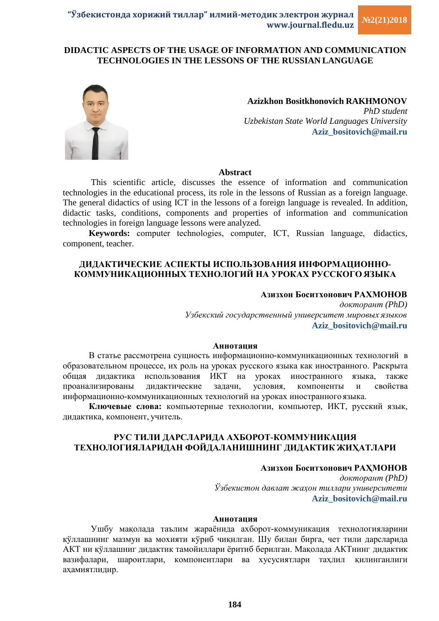## **DIDACTIC ASPECTS OF THE USAGE OF INFORMATION AND COMMUNICATION TECHNOLOGIES IN THE LESSONS OF THE RUSSIAN LANGUAGE**



**Azizkhon Bositkhonovich RAKHMONOV** *PhD student Uzbekistan State World Languages University* **Aziz\_bositovich@mail.ru**

#### **Abstract**

This scientific article, discusses the essence of information and communication technologies in the educational process, its role in the lessons of Russian as a foreign language. The general didactics of using ICT in the lessons of a foreign language is revealed. In addition, didactic tasks, conditions, components and properties of information and communication technologies in foreign language lessons were analyzed.

**Keywords:** сomputer technologies, computer, ICT, Russian language, didactics, component, teacher.

### **ДИДАКТИЧЕСКИЕ АСПЕКТЫ ИСПОЛЬЗОВАНИЯ ИНФОРМАЦИОННО-КОММУНИКАЦИОННЫХ ТЕХНОЛОГИЙ НА УРОКАХ РУССКОГО ЯЗЫКА**

### **Азизхон Боситхонович РАХМОНОВ**

*докторант (PhD) Узбекский государственный университет мировых языков* **Aziz\_bositovich@mail.ru**

#### **Аннотация**

В статье рассмотрена сущность информационно-коммуникационных технологий в образовательном процессе, их роль на уроках русского языка как иностранного. Раскрыта общая дидактика использования ИКТ на уроках иностранного языка, также проанализированы дидактические задачи, условия, компоненты и свойства информационно-коммуникационных технологий на уроках иностранного языка.

**Ключевые слова:** компьютерные технологии, компьютер, ИКТ, русский язык, дидактика, компонент, учитель.

### **РУС ТИЛИ ДАРСЛАРИДА АХБОРОТ-КОММУНИКАЦИЯ ТЕХНОЛОГИЯЛАРИДАН ФОЙДАЛАНИШНИНГ ДИДАКТИК ЖИҲАТЛАРИ**

# **Азизхон Боситхонович РАҲМОНОВ**

*докторант (PhD) Ўзбекистон давлат жаҳон тиллари университети* **Aziz\_bositovich@mail.ru**

#### **Аннотация**

Ушбу мақолада таълим жараёнида ахборот-коммуникация технологияларини қўллашнинг мазмун ва мохияти кўриб чиқилган. Шу билан бирга, чет тили дарсларида АКТ ни қўллашниг дидактик тамойиллари ёритиб берилган. Мақолада АКТнинг дидактик вазифалари, шароитлари, компонентлари ва хусусиятлари таҳлил қилинганлиги аҳамиятлидир.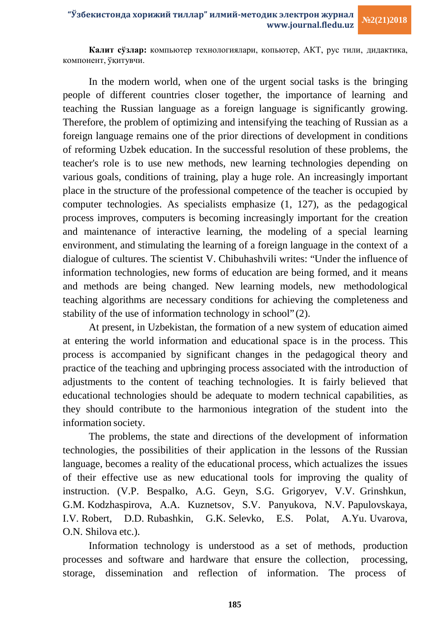**Калит сўзлар:** компьютер технологиялари, копьютер, АКТ, рус тили, дидактика, компонент, ўқитувчи.

In the modern world, when one of the urgent social tasks is the bringing people of different countries closer together, the importance of learning and teaching the Russian language as a foreign language is significantly growing. Therefore, the problem of optimizing and intensifying the teaching of Russian as a foreign language remains one of the prior directions of development in conditions of reforming Uzbek education. In the successful resolution of these problems, the teacher's role is to use new methods, new learning technologies depending on various goals, conditions of training, play a huge role. An increasingly important place in the structure of the professional competence of the teacher is occupied by computer technologies. As specialists emphasize (1, 127), as the pedagogical process improves, computers is becoming increasingly important for the creation and maintenance of interactive learning, the modeling of a special learning environment, and stimulating the learning of a foreign language in the context of a dialogue of cultures. The scientist V. Chibuhashvili writes: "Under the influence of information technologies, new forms of education are being formed, and it means and methods are being changed. New learning models, new methodological teaching algorithms are necessary conditions for achieving the completeness and stability of the use of information technology in school" (2).

At present, in Uzbekistan, the formation of a new system of education aimed at entering the world information and educational space is in the process. This process is accompanied by significant changes in the pedagogical theory and practice of the teaching and upbringing process associated with the introduction of adjustments to the content of teaching technologies. It is fairly believed that educational technologies should be adequate to modern technical capabilities, as they should contribute to the harmonious integration of the student into the information society.

The problems, the state and directions of the development of information technologies, the possibilities of their application in the lessons of the Russian language, becomes a reality of the educational process, which actualizes the issues of their effective use as new educational tools for improving the quality of instruction. (V.P. Bespalko, A.G. Geyn, S.G. Grigoryev, V.V. Grinshkun, G.M. Kodzhaspirova, A.A. Kuznetsov, S.V. Panyukova, N.V. Papulovskaya, I.V. Robert, D.D. Rubashkin, G.K. Selevko, E.S. Polat, A.Yu. Uvarova, O.N. Shilova etc.).

Information technology is understood as a set of methods, production processes and software and hardware that ensure the collection, processing, storage, dissemination and reflection of information. The process of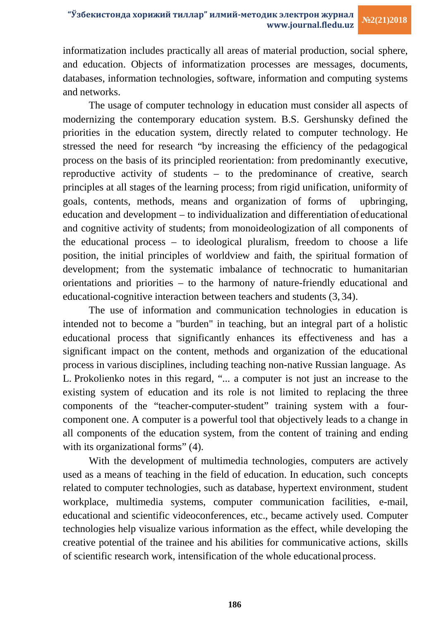informatization includes practically all areas of material production, social sphere, and education. Objects of informatization processes are messages, documents, databases, information technologies, software, information and computing systems and networks.

The usage of computer technology in education must consider all aspects of modernizing the contemporary education system. B.S. Gershunsky defined the priorities in the education system, directly related to computer technology. He stressed the need for research "by increasing the efficiency of the pedagogical process on the basis of its principled reorientation: from predominantly executive, reproductive activity of students – to the predominance of creative, search principles at all stages of the learning process; from rigid unification, uniformity of goals, contents, methods, means and organization of forms of upbringing, education and development – to individualization and differentiation of educational and cognitive activity of students; from monoideologization of all components of the educational process – to ideological pluralism, freedom to choose a life position, the initial principles of worldview and faith, the spiritual formation of development; from the systematic imbalance of technocratic to humanitarian orientations and priorities – to the harmony of nature-friendly educational and educational-cognitive interaction between teachers and students (3, 34).

The use of information and communication technologies in education is intended not to become a "burden" in teaching, but an integral part of a holistic educational process that significantly enhances its effectiveness and has a significant impact on the content, methods and organization of the educational process in various disciplines, including teaching non-native Russian language. As L. Prokolienko notes in this regard, "... a computer is not just an increase to the existing system of education and its role is not limited to replacing the three components of the "teacher-computer-student" training system with a fourcomponent one. A computer is a powerful tool that objectively leads to a change in all components of the education system, from the content of training and ending with its organizational forms" (4).

With the development of multimedia technologies, computers are actively used as a means of teaching in the field of education. In education, such concepts related to computer technologies, such as database, hypertext environment, student workplace, multimedia systems, computer communication facilities, e-mail, educational and scientific videoconferences, etc., became actively used. Computer technologies help visualize various information as the effect, while developing the creative potential of the trainee and his abilities for communicative actions, skills of scientific research work, intensification of the whole educationalprocess.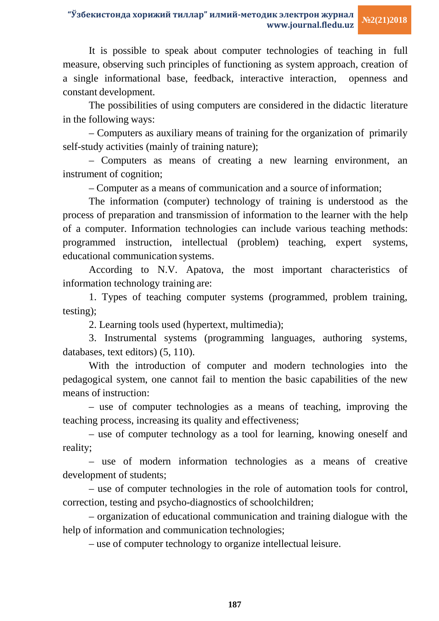It is possible to speak about computer technologies of teaching in full measure, observing such principles of functioning as system approach, creation of a single informational base, feedback, interactive interaction, openness and constant development.

The possibilities of using computers are considered in the didactic literature in the following ways:

– Computers as auxiliary means of training for the organization of primarily self-study activities (mainly of training nature);

– Computers as means of creating a new learning environment, an instrument of cognition;

– Computer as a means of communication and a source of information;

The information (computer) technology of training is understood as the process of preparation and transmission of information to the learner with the help of a computer. Information technologies can include various teaching methods: programmed instruction, intellectual (problem) teaching, expert systems, educational communication systems.

According to N.V. Apatova, the most important characteristics of information technology training are:

1. Types of teaching computer systems (programmed, problem training, testing);

2. Learning tools used (hypertext, multimedia);

3. Instrumental systems (programming languages, authoring systems, databases, text editors) (5, 110).

With the introduction of computer and modern technologies into the pedagogical system, one cannot fail to mention the basic capabilities of the new means of instruction:

– use of computer technologies as a means of teaching, improving the teaching process, increasing its quality and effectiveness;

– use of computer technology as a tool for learning, knowing oneself and reality;

– use of modern information technologies as a means of creative development of students;

– use of computer technologies in the role of automation tools for control, correction, testing and psycho-diagnostics of schoolchildren;

– organization of educational communication and training dialogue with the help of information and communication technologies;

– use of computer technology to organize intellectual leisure.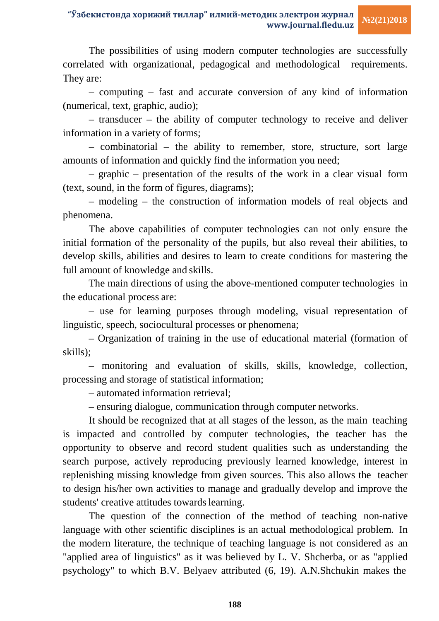The possibilities of using modern computer technologies are successfully correlated with organizational, pedagogical and methodological requirements. They are:

– computing – fast and accurate conversion of any kind of information (numerical, text, graphic, audio);

– transducer – the ability of computer technology to receive and deliver information in a variety of forms;

– combinatorial – the ability to remember, store, structure, sort large amounts of information and quickly find the information you need;

– graphic – presentation of the results of the work in a clear visual form (text, sound, in the form of figures, diagrams);

– modeling – the construction of information models of real objects and phenomena.

The above capabilities of computer technologies can not only ensure the initial formation of the personality of the pupils, but also reveal their abilities, to develop skills, abilities and desires to learn to create conditions for mastering the full amount of knowledge and skills.

The main directions of using the above-mentioned computer technologies in the educational process are:

– use for learning purposes through modeling, visual representation of linguistic, speech, sociocultural processes or phenomena;

– Organization of training in the use of educational material (formation of skills);

– monitoring and evaluation of skills, skills, knowledge, collection, processing and storage of statistical information;

– automated information retrieval;

– ensuring dialogue, communication through computer networks.

It should be recognized that at all stages of the lesson, as the main teaching is impacted and controlled by computer technologies, the teacher has the opportunity to observe and record student qualities such as understanding the search purpose, actively reproducing previously learned knowledge, interest in replenishing missing knowledge from given sources. This also allows the teacher to design his/her own activities to manage and gradually develop and improve the students' creative attitudes towards learning.

The question of the connection of the method of teaching non-native language with other scientific disciplines is an actual methodological problem. In the modern literature, the technique of teaching language is not considered as an "applied area of linguistics" as it was believed by L. V. Shcherba, or as "applied psychology" to which B.V. Belyaev attributed (6, 19). A.N.Shchukin makes the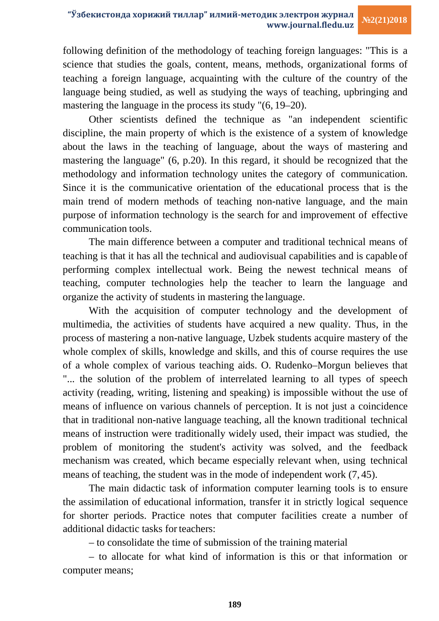# **"Ўзбекистонда хорижий тиллар" илмий-методик электрон журнал www.journal.fledu.uz**

following definition of the methodology of teaching foreign languages: "This is a science that studies the goals, content, means, methods, organizational forms of teaching a foreign language, acquainting with the culture of the country of the language being studied, as well as studying the ways of teaching, upbringing and mastering the language in the process its study "(6, 19–20).

Other scientists defined the technique as "an independent scientific discipline, the main property of which is the existence of a system of knowledge about the laws in the teaching of language, about the ways of mastering and mastering the language" (6, p.20). In this regard, it should be recognized that the methodology and information technology unites the category of communication. Since it is the communicative orientation of the educational process that is the main trend of modern methods of teaching non-native language, and the main purpose of information technology is the search for and improvement of effective communication tools.

The main difference between a computer and traditional technical means of teaching is that it has all the technical and audiovisual capabilities and is capable of performing complex intellectual work. Being the newest technical means of teaching, computer technologies help the teacher to learn the language and organize the activity of students in mastering the language.

With the acquisition of computer technology and the development of multimedia, the activities of students have acquired a new quality. Thus, in the process of mastering a non-native language, Uzbek students acquire mastery of the whole complex of skills, knowledge and skills, and this of course requires the use of a whole complex of various teaching aids. O. Rudenko–Morgun believes that "... the solution of the problem of interrelated learning to all types of speech activity (reading, writing, listening and speaking) is impossible without the use of means of influence on various channels of perception. It is not just a coincidence that in traditional non-native language teaching, all the known traditional technical means of instruction were traditionally widely used, their impact was studied, the problem of monitoring the student's activity was solved, and the feedback mechanism was created, which became especially relevant when, using technical means of teaching, the student was in the mode of independent work (7, 45).

The main didactic task of information computer learning tools is to ensure the assimilation of educational information, transfer it in strictly logical sequence for shorter periods. Practice notes that computer facilities create a number of additional didactic tasks for teachers:

– to consolidate the time of submission of the training material

– to allocate for what kind of information is this or that information or computer means;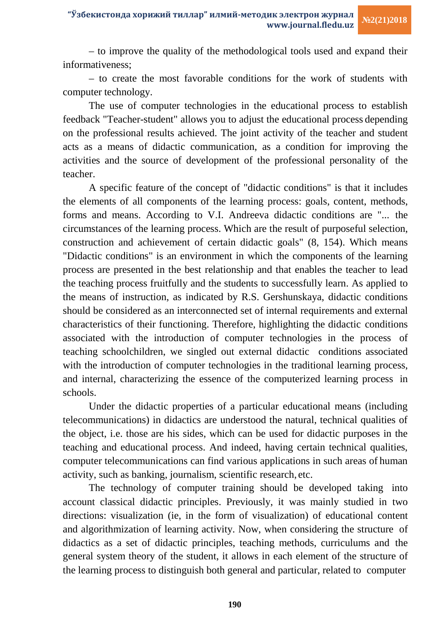– to improve the quality of the methodological tools used and expand their informativeness;

– to create the most favorable conditions for the work of students with computer technology.

The use of computer technologies in the educational process to establish feedback "Teacher-student" allows you to adjust the educational process depending on the professional results achieved. The joint activity of the teacher and student acts as a means of didactic communication, as a condition for improving the activities and the source of development of the professional personality of the teacher.

A specific feature of the concept of "didactic conditions" is that it includes the elements of all components of the learning process: goals, content, methods, forms and means. According to V.I. Andreeva didactic conditions are "... the circumstances of the learning process. Which are the result of purposeful selection, construction and achievement of certain didactic goals" (8, 154). Which means "Didactic conditions" is an environment in which the components of the learning process are presented in the best relationship and that enables the teacher to lead the teaching process fruitfully and the students to successfully learn. As applied to the means of instruction, as indicated by R.S. Gershunskaya, didactic conditions should be considered as an interconnected set of internal requirements and external characteristics of their functioning. Therefore, highlighting the didactic conditions associated with the introduction of computer technologies in the process of teaching schoolchildren, we singled out external didactic conditions associated with the introduction of computer technologies in the traditional learning process, and internal, characterizing the essence of the computerized learning process in schools.

Under the didactic properties of a particular educational means (including telecommunications) in didactics are understood the natural, technical qualities of the object, i.e. those are his sides, which can be used for didactic purposes in the teaching and educational process. And indeed, having certain technical qualities, computer telecommunications can find various applications in such areas of human activity, such as banking, journalism, scientific research, etc.

The technology of computer training should be developed taking into account classical didactic principles. Previously, it was mainly studied in two directions: visualization (ie, in the form of visualization) of educational content and algorithmization of learning activity. Now, when considering the structure of didactics as a set of didactic principles, teaching methods, curriculums and the general system theory of the student, it allows in each element of the structure of the learning process to distinguish both general and particular, related to computer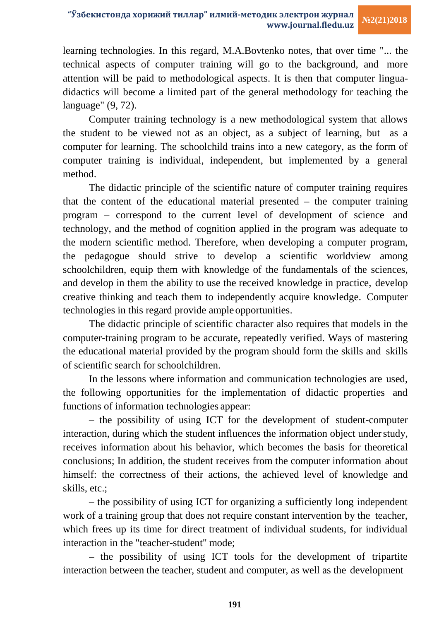learning technologies. In this regard, M.A.Bovtenko notes, that over time "... the technical aspects of computer training will go to the background, and more attention will be paid to methodological aspects. It is then that computer linguadidactics will become a limited part of the general methodology for teaching the language" (9, 72).

Computer training technology is a new methodological system that allows the student to be viewed not as an object, as a subject of learning, but as a computer for learning. The schoolchild trains into a new category, as the form of computer training is individual, independent, but implemented by a general method.

The didactic principle of the scientific nature of computer training requires that the content of the educational material presented – the computer training program – correspond to the current level of development of science and technology, and the method of cognition applied in the program was adequate to the modern scientific method. Therefore, when developing a computer program, the pedagogue should strive to develop a scientific worldview among schoolchildren, equip them with knowledge of the fundamentals of the sciences, and develop in them the ability to use the received knowledge in practice, develop creative thinking and teach them to independently acquire knowledge. Computer technologies in this regard provide ampleopportunities.

The didactic principle of scientific character also requires that models in the computer-training program to be accurate, repeatedly verified. Ways of mastering the educational material provided by the program should form the skills and skills of scientific search forschoolchildren.

In the lessons where information and communication technologies are used, the following opportunities for the implementation of didactic properties and functions of information technologies appear:

– the possibility of using ICT for the development of student-computer interaction, during which the student influences the information object under study, receives information about his behavior, which becomes the basis for theoretical conclusions; In addition, the student receives from the computer information about himself: the correctness of their actions, the achieved level of knowledge and skills, etc.;

– the possibility of using ICT for organizing a sufficiently long independent work of a training group that does not require constant intervention by the teacher, which frees up its time for direct treatment of individual students, for individual interaction in the "teacher-student" mode;

– the possibility of using ICT tools for the development of tripartite interaction between the teacher, student and computer, as well as the development